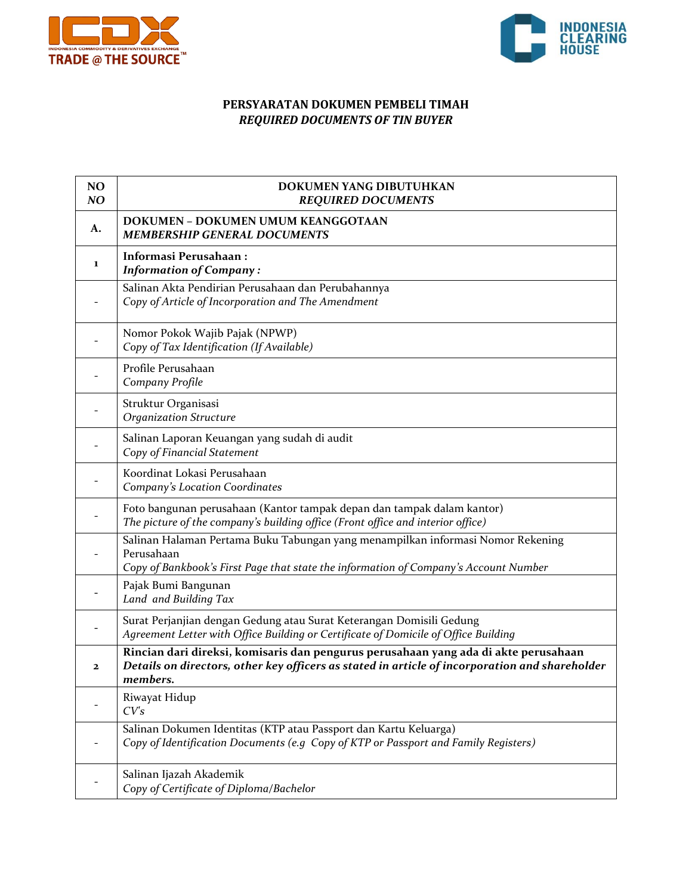



## **PERSYARATAN DOKUMEN PEMBELI TIMAH** *REQUIRED DOCUMENTS OF TIN BUYER*

| NO<br>NO     | DOKUMEN YANG DIBUTUHKAN<br><b>REQUIRED DOCUMENTS</b>                                                                                                                                              |
|--------------|---------------------------------------------------------------------------------------------------------------------------------------------------------------------------------------------------|
| A.           | DOKUMEN - DOKUMEN UMUM KEANGGOTAAN<br><b>MEMBERSHIP GENERAL DOCUMENTS</b>                                                                                                                         |
| 1            | <b>Informasi Perusahaan:</b><br><b>Information of Company:</b>                                                                                                                                    |
|              | Salinan Akta Pendirian Perusahaan dan Perubahannya<br>Copy of Article of Incorporation and The Amendment                                                                                          |
|              | Nomor Pokok Wajib Pajak (NPWP)<br>Copy of Tax Identification (If Available)                                                                                                                       |
|              | Profile Perusahaan<br>Company Profile                                                                                                                                                             |
|              | Struktur Organisasi<br><b>Organization Structure</b>                                                                                                                                              |
|              | Salinan Laporan Keuangan yang sudah di audit<br>Copy of Financial Statement                                                                                                                       |
|              | Koordinat Lokasi Perusahaan<br><b>Company's Location Coordinates</b>                                                                                                                              |
|              | Foto bangunan perusahaan (Kantor tampak depan dan tampak dalam kantor)<br>The picture of the company's building office (Front office and interior office)                                         |
|              | Salinan Halaman Pertama Buku Tabungan yang menampilkan informasi Nomor Rekening<br>Perusahaan<br>Copy of Bankbook's First Page that state the information of Company's Account Number             |
|              | Pajak Bumi Bangunan<br>Land and Building Tax                                                                                                                                                      |
|              | Surat Perjanjian dengan Gedung atau Surat Keterangan Domisili Gedung<br>Agreement Letter with Office Building or Certificate of Domicile of Office Building                                       |
| $\mathbf{2}$ | Rincian dari direksi, komisaris dan pengurus perusahaan yang ada di akte perusahaan<br>Details on directors, other key officers as stated in article of incorporation and shareholder<br>members. |
|              | Riwayat Hidup<br>CVs                                                                                                                                                                              |
|              | Salinan Dokumen Identitas (KTP atau Passport dan Kartu Keluarga)<br>Copy of Identification Documents (e.g Copy of KTP or Passport and Family Registers)                                           |
|              | Salinan Ijazah Akademik<br>Copy of Certificate of Diploma/Bachelor                                                                                                                                |